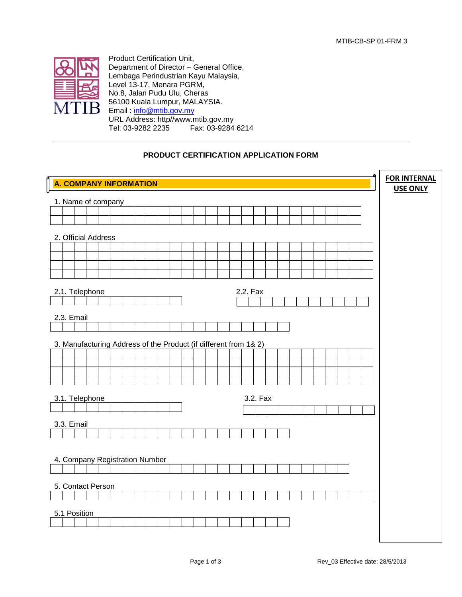

Product Certification Unit, Department of Director – General Office, Lembaga Perindustrian Kayu Malaysia, Level 13-17, Menara PGRM, No.8, Jalan Pudu Ulu, Cheras 56100 Kuala Lumpur, MALAYSIA. Email: [info@mtib.gov.my](mailto:info@mtib.gov.my) URL Address: http//www.mtib.gov.my Tel: 03-9282 2235

## **PRODUCT CERTIFICATION APPLICATION FORM**

|                                                                  | <b>FOR INTERNAL</b><br><b>USE ONLY</b> |  |  |  |  |  |  |  |
|------------------------------------------------------------------|----------------------------------------|--|--|--|--|--|--|--|
| $\mathring{\parallel}$ A. COMPANY INFORMATION                    |                                        |  |  |  |  |  |  |  |
| 1. Name of company                                               |                                        |  |  |  |  |  |  |  |
|                                                                  |                                        |  |  |  |  |  |  |  |
|                                                                  |                                        |  |  |  |  |  |  |  |
| 2. Official Address                                              |                                        |  |  |  |  |  |  |  |
|                                                                  |                                        |  |  |  |  |  |  |  |
|                                                                  |                                        |  |  |  |  |  |  |  |
|                                                                  |                                        |  |  |  |  |  |  |  |
|                                                                  |                                        |  |  |  |  |  |  |  |
| 2.2. Fax<br>2.1. Telephone                                       |                                        |  |  |  |  |  |  |  |
|                                                                  |                                        |  |  |  |  |  |  |  |
|                                                                  |                                        |  |  |  |  |  |  |  |
| 2.3. Email                                                       |                                        |  |  |  |  |  |  |  |
|                                                                  |                                        |  |  |  |  |  |  |  |
| 3. Manufacturing Address of the Product (if different from 1& 2) |                                        |  |  |  |  |  |  |  |
|                                                                  |                                        |  |  |  |  |  |  |  |
|                                                                  |                                        |  |  |  |  |  |  |  |
|                                                                  |                                        |  |  |  |  |  |  |  |
|                                                                  |                                        |  |  |  |  |  |  |  |
| 3.2. Fax<br>3.1. Telephone                                       |                                        |  |  |  |  |  |  |  |
|                                                                  |                                        |  |  |  |  |  |  |  |
| 3.3. Email                                                       |                                        |  |  |  |  |  |  |  |
|                                                                  |                                        |  |  |  |  |  |  |  |
|                                                                  |                                        |  |  |  |  |  |  |  |
|                                                                  |                                        |  |  |  |  |  |  |  |
| 4. Company Registration Number                                   |                                        |  |  |  |  |  |  |  |
|                                                                  |                                        |  |  |  |  |  |  |  |
| 5. Contact Person                                                |                                        |  |  |  |  |  |  |  |
|                                                                  |                                        |  |  |  |  |  |  |  |
|                                                                  |                                        |  |  |  |  |  |  |  |
| 5.1 Position                                                     |                                        |  |  |  |  |  |  |  |
|                                                                  |                                        |  |  |  |  |  |  |  |
|                                                                  |                                        |  |  |  |  |  |  |  |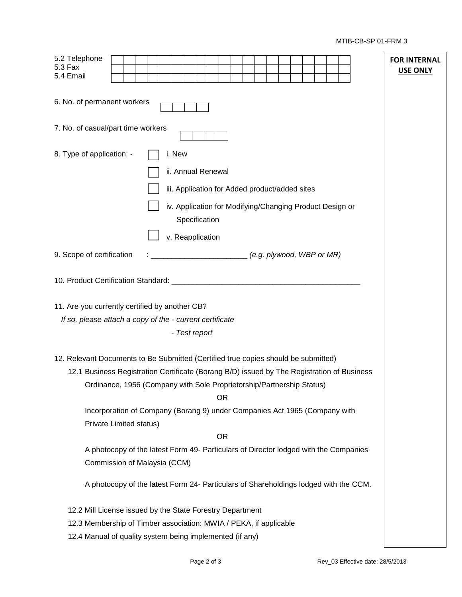MTIB-CB-SP 01-FRM 3

| 5.2 Telephone<br>5.3 Fax<br>5.4 Email                                                      |                                                                                                                      |  |                                                                           |  |           |                             |  |  |  |  |  |  | USE ONLY | <b>FOR INTERNAL</b> |
|--------------------------------------------------------------------------------------------|----------------------------------------------------------------------------------------------------------------------|--|---------------------------------------------------------------------------|--|-----------|-----------------------------|--|--|--|--|--|--|----------|---------------------|
| 6. No. of permanent workers                                                                |                                                                                                                      |  |                                                                           |  |           |                             |  |  |  |  |  |  |          |                     |
| 7. No. of casual/part time workers                                                         |                                                                                                                      |  |                                                                           |  |           |                             |  |  |  |  |  |  |          |                     |
| 8. Type of application: -                                                                  |                                                                                                                      |  | i. New                                                                    |  |           |                             |  |  |  |  |  |  |          |                     |
|                                                                                            |                                                                                                                      |  | ii. Annual Renewal                                                        |  |           |                             |  |  |  |  |  |  |          |                     |
|                                                                                            |                                                                                                                      |  | iii. Application for Added product/added sites                            |  |           |                             |  |  |  |  |  |  |          |                     |
|                                                                                            |                                                                                                                      |  | iv. Application for Modifying/Changing Product Design or<br>Specification |  |           |                             |  |  |  |  |  |  |          |                     |
|                                                                                            |                                                                                                                      |  | v. Reapplication                                                          |  |           |                             |  |  |  |  |  |  |          |                     |
| 9. Scope of certification                                                                  |                                                                                                                      |  |                                                                           |  |           | $(e.g.$ plywood, WBP or MR) |  |  |  |  |  |  |          |                     |
|                                                                                            |                                                                                                                      |  |                                                                           |  |           |                             |  |  |  |  |  |  |          |                     |
| 11. Are you currently certified by another CB?                                             |                                                                                                                      |  |                                                                           |  |           |                             |  |  |  |  |  |  |          |                     |
| If so, please attach a copy of the - current certificate                                   |                                                                                                                      |  |                                                                           |  |           |                             |  |  |  |  |  |  |          |                     |
|                                                                                            |                                                                                                                      |  | - Test report                                                             |  |           |                             |  |  |  |  |  |  |          |                     |
| 12. Relevant Documents to Be Submitted (Certified true copies should be submitted)         |                                                                                                                      |  |                                                                           |  |           |                             |  |  |  |  |  |  |          |                     |
| 12.1 Business Registration Certificate (Borang B/D) issued by The Registration of Business | Ordinance, 1956 (Company with Sole Proprietorship/Partnership Status)                                                |  |                                                                           |  |           |                             |  |  |  |  |  |  |          |                     |
|                                                                                            |                                                                                                                      |  |                                                                           |  | <b>OR</b> |                             |  |  |  |  |  |  |          |                     |
|                                                                                            | Incorporation of Company (Borang 9) under Companies Act 1965 (Company with<br>Private Limited status)                |  |                                                                           |  |           |                             |  |  |  |  |  |  |          |                     |
|                                                                                            |                                                                                                                      |  |                                                                           |  | <b>OR</b> |                             |  |  |  |  |  |  |          |                     |
|                                                                                            | A photocopy of the latest Form 49- Particulars of Director lodged with the Companies<br>Commission of Malaysia (CCM) |  |                                                                           |  |           |                             |  |  |  |  |  |  |          |                     |
|                                                                                            | A photocopy of the latest Form 24- Particulars of Shareholdings lodged with the CCM.                                 |  |                                                                           |  |           |                             |  |  |  |  |  |  |          |                     |
| 12.2 Mill License issued by the State Forestry Department                                  |                                                                                                                      |  |                                                                           |  |           |                             |  |  |  |  |  |  |          |                     |
| 12.3 Membership of Timber association: MWIA / PEKA, if applicable                          |                                                                                                                      |  |                                                                           |  |           |                             |  |  |  |  |  |  |          |                     |
| 12.4 Manual of quality system being implemented (if any)                                   |                                                                                                                      |  |                                                                           |  |           |                             |  |  |  |  |  |  |          |                     |